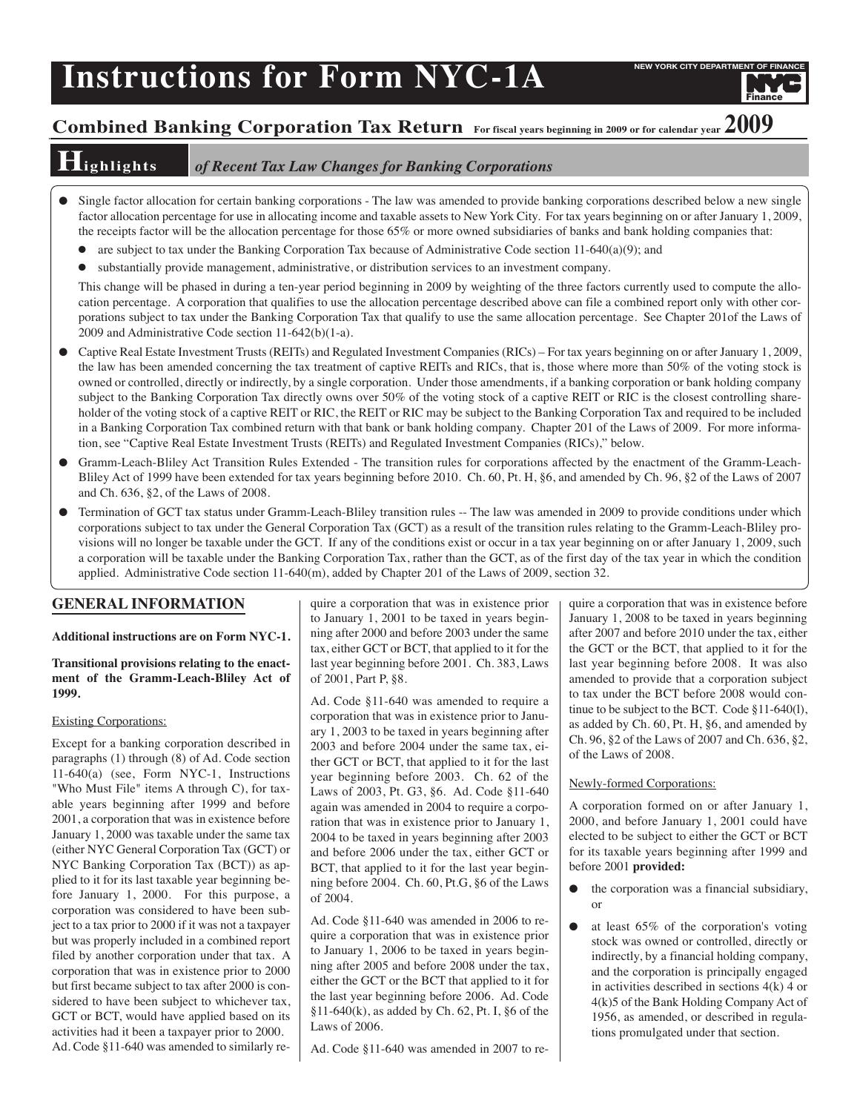# **Instructions for Form NYC-1A**

Finance

# **Combined Banking Corporation Tax Return For fiscal years beginning in <sup>2009</sup> or for calendar year 2009**

## **Highlights** *of Recent Tax Law Changes for Banking Corporations*

- Single factor allocation for certain banking corporations The law was amended to provide banking corporations described below a new single factor allocation percentage for use in allocating income and taxable assets to New York City. For tax years beginning on or after January 1, 2009, the receipts factor will be the allocation percentage for those 65% or more owned subsidiaries of banks and bank holding companies that:
	- are subject to tax under the Banking Corporation Tax because of Administrative Code section  $11-640(a)(9)$ ; and
	- substantially provide management, administrative, or distribution services to an investment company.

This change will be phased in during a ten-year period beginning in 2009 by weighting of the three factors currently used to compute the allocation percentage. A corporation that qualifies to use the allocation percentage described above can file a combined report only with other corporations subject to tax under the Banking Corporation Tax that qualify to use the same allocation percentage. See Chapter 201of the Laws of 2009 and Administrative Code section 11-642(b)(1-a).

- Captive Real Estate Investment Trusts (REITs) and Regulated Investment Companies (RICs) For tax years beginning on or after January 1, 2009, the law has been amended concerning the tax treatment of captive REITs and RICs, that is, those where more than 50% of the voting stock is owned or controlled, directly or indirectly, by a single corporation. Under those amendments, if a banking corporation or bank holding company subject to the Banking Corporation Tax directly owns over 50% of the voting stock of a captive REIT or RIC is the closest controlling shareholder of the voting stock of a captive REIT or RIC, the REIT or RIC may be subject to the Banking Corporation Tax and required to be included in a Banking Corporation Tax combined return with that bank or bank holding company. Chapter 201 of the Laws of 2009. For more information, see "Captive Real Estate Investment Trusts (REITs) and Regulated Investment Companies (RICs)," below.
- Gramm-Leach-Bliley Act Transition Rules Extended The transition rules for corporations affected by the enactment of the Gramm-Leach-Bliley Act of 1999 have been extended for tax years beginning before 2010. Ch. 60, Pt. H, §6, and amended by Ch. 96, §2 of the Laws of 2007 and Ch. 636, §2, of the Laws of 2008.
- Termination of GCT tax status under Gramm-Leach-Bliley transition rules -- The law was amended in 2009 to provide conditions under which corporations subject to tax under the General Corporation Tax (GCT) as a result of the transition rules relating to the Gramm-Leach-Bliley provisions will no longer be taxable under the GCT. If any of the conditions exist or occur in a tax year beginning on or after January 1, 2009, such a corporation will be taxable under the Banking Corporation Tax, rather than the GCT, as of the first day of the tax year in which the condition applied. Administrative Code section 11-640(m), added by Chapter 201 of the Laws of 2009, section 32.

#### **GENERAL INFORMATION**

#### **Additional instructions are on Form NYC-1.**

#### **Transitional provisions relating to the enactment of the Gramm-Leach-Bliley Act of 1999.**

#### Existing Corporations:

Except for a banking corporation described in paragraphs (1) through (8) of Ad. Code section 11-640(a) (see, Form NYC-1, Instructions "Who Must File" items A through C), for taxable years beginning after 1999 and before 2001, a corporation that was in existence before January 1, 2000 was taxable under the same tax (either NYC General Corporation Tax (GCT) or NYC Banking Corporation Tax (BCT)) as applied to it for its last taxable year beginning before January 1, 2000. For this purpose, a corporation was considered to have been subject to a tax prior to 2000 if it was not a taxpayer but was properly included in a combined report filed by another corporation under that tax. A corporation that was in existence prior to 2000 but first became subject to tax after 2000 is considered to have been subject to whichever tax, GCT or BCT, would have applied based on its activities had it been a taxpayer prior to 2000. Ad. Code §11-640 was amended to similarly require a corporation that was in existence prior to January 1, 2001 to be taxed in years beginning after 2000 and before 2003 under the same tax, either GCT or BCT, that applied to it for the last year beginning before 2001. Ch. 383, Laws of 2001, Part P, §8.

Ad. Code §11-640 was amended to require a corporation that was in existence prior to January 1, 2003 to be taxed in years beginning after 2003 and before 2004 under the same tax, either GCT or BCT, that applied to it for the last year beginning before 2003. Ch. 62 of the Laws of 2003, Pt. G3, §6. Ad. Code §11-640 again was amended in 2004 to require a corporation that was in existence prior to January 1, 2004 to be taxed in years beginning after 2003 and before 2006 under the tax, either GCT or BCT, that applied to it for the last year beginning before 2004. Ch. 60, Pt.G, §6 of the Laws of 2004.

Ad. Code §11-640 was amended in 2006 to require a corporation that was in existence prior to January 1, 2006 to be taxed in years beginning after 2005 and before 2008 under the tax, either the GCT or the BCT that applied to it for the last year beginning before 2006. Ad. Code §11-640(k), as added by Ch. 62, Pt. I, §6 of the Laws of 2006.

Ad. Code §11-640 was amended in 2007 to re-

quire a corporation that was in existence before January 1, 2008 to be taxed in years beginning after 2007 and before 2010 under the tax, either the GCT or the BCT, that applied to it for the last year beginning before 2008. It was also amended to provide that a corporation subject to tax under the BCT before 2008 would continue to be subject to the BCT. Code §11-640(l), as added by Ch. 60, Pt. H, §6, and amended by Ch. 96, §2 of the Laws of 2007 and Ch. 636, §2, of the Laws of 2008.

#### Newly-formed Corporations:

A corporation formed on or after January 1, 2000, and before January 1, 2001 could have elected to be subject to either the GCT or BCT for its taxable years beginning after 1999 and before 2001 **provided:**

- the corporation was a financial subsidiary, or
- at least  $65\%$  of the corporation's voting stock was owned or controlled, directly or indirectly, by a financial holding company, and the corporation is principally engaged in activities described in sections 4(k) 4 or 4(k)5 of the Bank Holding Company Act of 1956, as amended, or described in regulations promulgated under that section.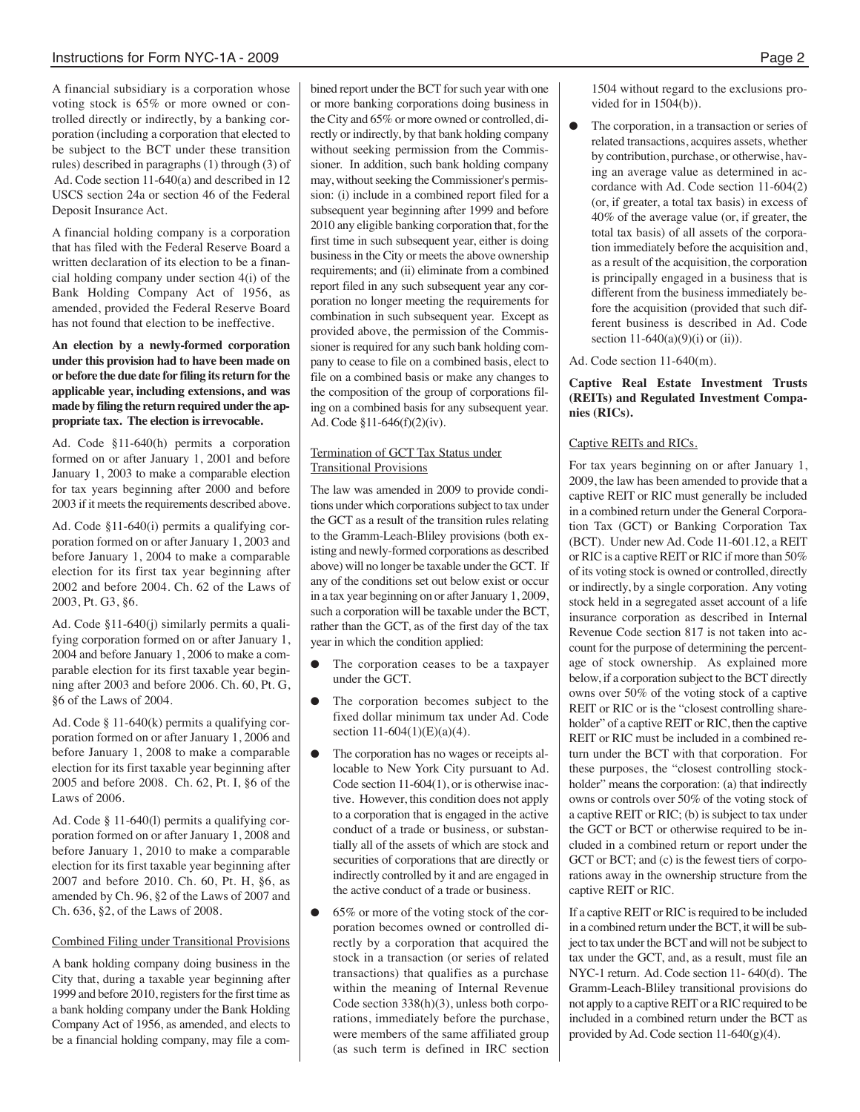A financial subsidiary is a corporation whose voting stock is 65% or more owned or controlled directly or indirectly, by a banking corporation (including a corporation that elected to be subject to the BCT under these transition rules) described in paragraphs (1) through (3) of Ad. Code section 11-640(a) and described in 12 USCS section 24a or section 46 of the Federal Deposit Insurance Act.

A financial holding company is a corporation that has filed with the Federal Reserve Board a written declaration of its election to be a financial holding company under section 4(i) of the Bank Holding Company Act of 1956, as amended, provided the Federal Reserve Board has not found that election to be ineffective.

**An election by a newly-formed corporation under this provision had to have been made on or before the due date for filing its return for the applicable year, including extensions, and was made by filing the return required under the appropriate tax. The election is irrevocable.**

Ad. Code §11-640(h) permits a corporation formed on or after January 1, 2001 and before January 1, 2003 to make a comparable election for tax years beginning after 2000 and before 2003 if it meets the requirements described above.

Ad. Code §11-640(i) permits a qualifying corporation formed on or after January 1, 2003 and before January 1, 2004 to make a comparable election for its first tax year beginning after 2002 and before 2004. Ch. 62 of the Laws of 2003, Pt. G3, §6.

Ad. Code §11-640(j) similarly permits a qualifying corporation formed on or after January 1, 2004 and before January 1, 2006 to make a comparable election for its first taxable year beginning after 2003 and before 2006. Ch. 60, Pt. G, §6 of the Laws of 2004.

Ad. Code § 11-640(k) permits a qualifying corporation formed on or after January 1, 2006 and before January 1, 2008 to make a comparable election for its first taxable year beginning after 2005 and before 2008. Ch. 62, Pt. I, §6 of the Laws of 2006.

Ad. Code § 11-640(l) permits a qualifying corporation formed on or after January 1, 2008 and before January 1, 2010 to make a comparable election for its first taxable year beginning after 2007 and before 2010. Ch. 60, Pt. H, §6, as amended by Ch. 96, §2 of the Laws of 2007 and Ch. 636, §2, of the Laws of 2008.

#### Combined Filing under Transitional Provisions

A bank holding company doing business in the City that, during a taxable year beginning after 1999 and before 2010, registers for the first time as a bank holding company under the Bank Holding Company Act of 1956, as amended, and elects to be a financial holding company, may file a combined report under the BCT for such year with one or more banking corporations doing business in the City and 65% or more owned or controlled, directly or indirectly, by that bank holding company without seeking permission from the Commissioner. In addition, such bank holding company may, without seeking the Commissioner's permission: (i) include in a combined report filed for a subsequent year beginning after 1999 and before 2010 any eligible banking corporation that, for the first time in such subsequent year, either is doing business in the City or meets the above ownership requirements; and (ii) eliminate from a combined report filed in any such subsequent year any corporation no longer meeting the requirements for combination in such subsequent year. Except as provided above, the permission of the Commissioner is required for any such bank holding company to cease to file on a combined basis, elect to file on a combined basis or make any changes to the composition of the group of corporations filing on a combined basis for any subsequent year. Ad. Code §11-646(f)(2)(iv).

#### Termination of GCT Tax Status under Transitional Provisions

The law was amended in 2009 to provide conditions under which corporations subject to tax under the GCT as a result of the transition rules relating to the Gramm-Leach-Bliley provisions (both existing and newly-formed corporations as described above) will no longer be taxable under the GCT. If any of the conditions set out below exist or occur in a tax year beginning on or after January 1, 2009, such a corporation will be taxable under the BCT, rather than the GCT, as of the first day of the tax year in which the condition applied:

- The corporation ceases to be a taxpayer under the GCT.
- The corporation becomes subject to the fixed dollar minimum tax under Ad. Code section 11-604(1)(E)(a)(4).
- The corporation has no wages or receipts allocable to New York City pursuant to Ad. Code section 11-604(1), or is otherwise inactive. However, this condition does not apply to a corporation that is engaged in the active conduct of a trade or business, or substantially all of the assets of which are stock and securities of corporations that are directly or indirectly controlled by it and are engaged in the active conduct of a trade or business.
- $65\%$  or more of the voting stock of the corporation becomes owned or controlled directly by a corporation that acquired the stock in a transaction (or series of related transactions) that qualifies as a purchase within the meaning of Internal Revenue Code section 338(h)(3), unless both corporations, immediately before the purchase, were members of the same affiliated group (as such term is defined in IRC section

1504 without regard to the exclusions provided for in 1504(b)).

The corporation, in a transaction or series of related transactions, acquires assets, whether by contribution, purchase, or otherwise, having an average value as determined in accordance with Ad. Code section 11-604(2) (or, if greater, a total tax basis) in excess of 40% of the average value (or, if greater, the total tax basis) of all assets of the corporation immediately before the acquisition and, as a result of the acquisition, the corporation is principally engaged in a business that is different from the business immediately before the acquisition (provided that such different business is described in Ad. Code section  $11-640(a)(9)(i)$  or (ii)).

#### Ad. Code section 11-640(m).

#### **Captive Real Estate Investment Trusts (REITs) and Regulated Investment Companies (RICs).**

#### Captive REITs and RICs.

For tax years beginning on or after January 1, 2009, the law has been amended to provide that a captive REIT or RIC must generally be included in a combined return under the General Corporation Tax (GCT) or Banking Corporation Tax (BCT). Under new Ad. Code 11-601.12, a REIT or RIC is a captive REIT or RIC if more than 50% of its voting stock is owned or controlled, directly or indirectly, by a single corporation. Any voting stock held in a segregated asset account of a life insurance corporation as described in Internal Revenue Code section 817 is not taken into account for the purpose of determining the percentage of stock ownership. As explained more below, if a corporation subject to the BCT directly owns over 50% of the voting stock of a captive REIT or RIC or is the "closest controlling shareholder" of a captive REIT or RIC, then the captive REIT or RIC must be included in a combined return under the BCT with that corporation. For these purposes, the "closest controlling stockholder" means the corporation: (a) that indirectly owns or controls over 50% of the voting stock of a captive REIT or RIC; (b) is subject to tax under the GCT or BCT or otherwise required to be included in a combined return or report under the GCT or BCT; and (c) is the fewest tiers of corporations away in the ownership structure from the captive REIT or RIC.

If a captive REIT or RIC is required to be included in a combined return under the BCT, it will be subject to tax under the BCT and will not be subject to tax under the GCT, and, as a result, must file an NYC-1 return. Ad. Code section 11- 640(d). The Gramm-Leach-Bliley transitional provisions do not apply to a captive REIT or a RIC required to be included in a combined return under the BCT as provided by Ad. Code section 11-640(g)(4).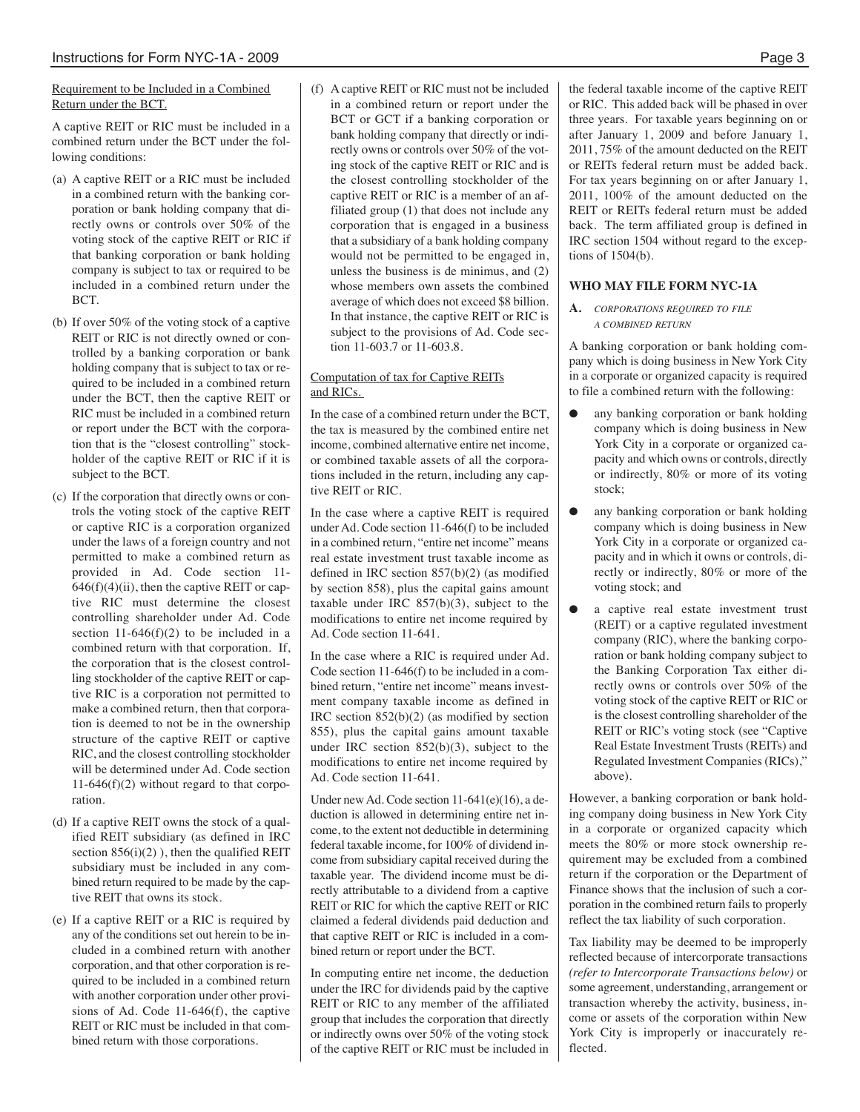#### Requirement to be Included in a Combined Return under the BCT.

A captive REIT or RIC must be included in a combined return under the BCT under the following conditions:

- (a) A captive REIT or a RIC must be included in a combined return with the banking corporation or bank holding company that directly owns or controls over 50% of the voting stock of the captive REIT or RIC if that banking corporation or bank holding company is subject to tax or required to be included in a combined return under the BCT.
- (b) If over 50% of the voting stock of a captive REIT or RIC is not directly owned or controlled by a banking corporation or bank holding company that is subject to tax or required to be included in a combined return under the BCT, then the captive REIT or RIC must be included in a combined return or report under the BCT with the corporation that is the "closest controlling" stockholder of the captive REIT or RIC if it is subject to the BCT.
- (c) If the corporation that directly owns or controls the voting stock of the captive REIT or captive RIC is a corporation organized under the laws of a foreign country and not permitted to make a combined return as provided in Ad. Code section 11-  $646(f)(4)(ii)$ , then the captive REIT or captive RIC must determine the closest controlling shareholder under Ad. Code section  $11-646(f)(2)$  to be included in a combined return with that corporation. If, the corporation that is the closest controlling stockholder of the captive REIT or captive RIC is a corporation not permitted to make a combined return, then that corporation is deemed to not be in the ownership structure of the captive REIT or captive RIC, and the closest controlling stockholder will be determined under Ad. Code section  $11-646(f)(2)$  without regard to that corporation.
- (d) If a captive REIT owns the stock of a qualified REIT subsidiary (as defined in IRC section  $856(i)(2)$ ), then the qualified REIT subsidiary must be included in any combined return required to be made by the captive REIT that owns its stock.
- (e) If a captive REIT or a RIC is required by any of the conditions set out herein to be included in a combined return with another corporation, and that other corporation is required to be included in a combined return with another corporation under other provisions of Ad. Code 11-646(f), the captive REIT or RIC must be included in that combined return with those corporations.

(f) A captive REIT or RIC must not be included in a combined return or report under the BCT or GCT if a banking corporation or bank holding company that directly or indirectly owns or controls over 50% of the voting stock of the captive REIT or RIC and is the closest controlling stockholder of the captive REIT or RIC is a member of an affiliated group (1) that does not include any corporation that is engaged in a business that a subsidiary of a bank holding company would not be permitted to be engaged in, unless the business is de minimus, and (2) whose members own assets the combined average of which does not exceed \$8 billion. In that instance, the captive REIT or RIC is subject to the provisions of Ad. Code section 11-603.7 or 11-603.8.

#### Computation of tax for Captive REITs and RICs.

In the case of a combined return under the BCT, the tax is measured by the combined entire net income, combined alternative entire net income, or combined taxable assets of all the corporations included in the return, including any captive REIT or RIC.

In the case where a captive REIT is required under Ad. Code section 11-646(f) to be included in a combined return, "entire net income" means real estate investment trust taxable income as defined in IRC section 857(b)(2) (as modified by section 858), plus the capital gains amount taxable under IRC 857(b)(3), subject to the modifications to entire net income required by Ad. Code section 11-641.

In the case where a RIC is required under Ad. Code section 11-646(f) to be included in a combined return, "entire net income" means investment company taxable income as defined in IRC section 852(b)(2) (as modified by section 855), plus the capital gains amount taxable under IRC section 852(b)(3), subject to the modifications to entire net income required by Ad. Code section 11-641.

Under newAd. Code section 11-641(e)(16), a deduction is allowed in determining entire net income, to the extent not deductible in determining federal taxable income, for 100% of dividend income from subsidiary capital received during the taxable year. The dividend income must be directly attributable to a dividend from a captive REIT or RIC for which the captive REIT or RIC claimed a federal dividends paid deduction and that captive REIT or RIC is included in a combined return or report under the BCT.

In computing entire net income, the deduction under the IRC for dividends paid by the captive REIT or RIC to any member of the affiliated group that includes the corporation that directly or indirectly owns over 50% of the voting stock of the captive REIT or RIC must be included in

the federal taxable income of the captive REIT or RIC. This added back will be phased in over three years. For taxable years beginning on or after January 1, 2009 and before January 1, 2011, 75% of the amount deducted on the REIT or REITs federal return must be added back. For tax years beginning on or after January 1, 2011, 100% of the amount deducted on the REIT or REITs federal return must be added back. The term affiliated group is defined in IRC section 1504 without regard to the exceptions of 1504(b).

#### **WHO MAY FILE FORM NYC-1A**

**A.** *CORPORATIONS REQUIRED TO FILE A COMBINED RETURN*

A banking corporation or bank holding company which is doing business in New York City in a corporate or organized capacity is required to file a combined return with the following:

- any banking corporation or bank holding company which is doing business in New York City in a corporate or organized capacity and which owns or controls, directly or indirectly, 80% or more of its voting stock;
- any banking corporation or bank holding company which is doing business in New York City in a corporate or organized capacity and in which it owns or controls, directly or indirectly, 80% or more of the voting stock; and
- a captive real estate investment trust (REIT) or a captive regulated investment company (RIC), where the banking corporation or bank holding company subject to the Banking Corporation Tax either directly owns or controls over 50% of the voting stock of the captive REIT or RIC or is the closest controlling shareholder of the REIT or RIC's voting stock (see "Captive Real Estate Investment Trusts (REITs) and Regulated Investment Companies (RICs)," above).

However, a banking corporation or bank holding company doing business in New York City in a corporate or organized capacity which meets the 80% or more stock ownership requirement may be excluded from a combined return if the corporation or the Department of Finance shows that the inclusion of such a corporation in the combined return fails to properly reflect the tax liability of such corporation.

Tax liability may be deemed to be improperly reflected because of intercorporate transactions *(refer to Intercorporate Transactions below)* or some agreement, understanding, arrangement or transaction whereby the activity, business, income or assets of the corporation within New York City is improperly or inaccurately reflected.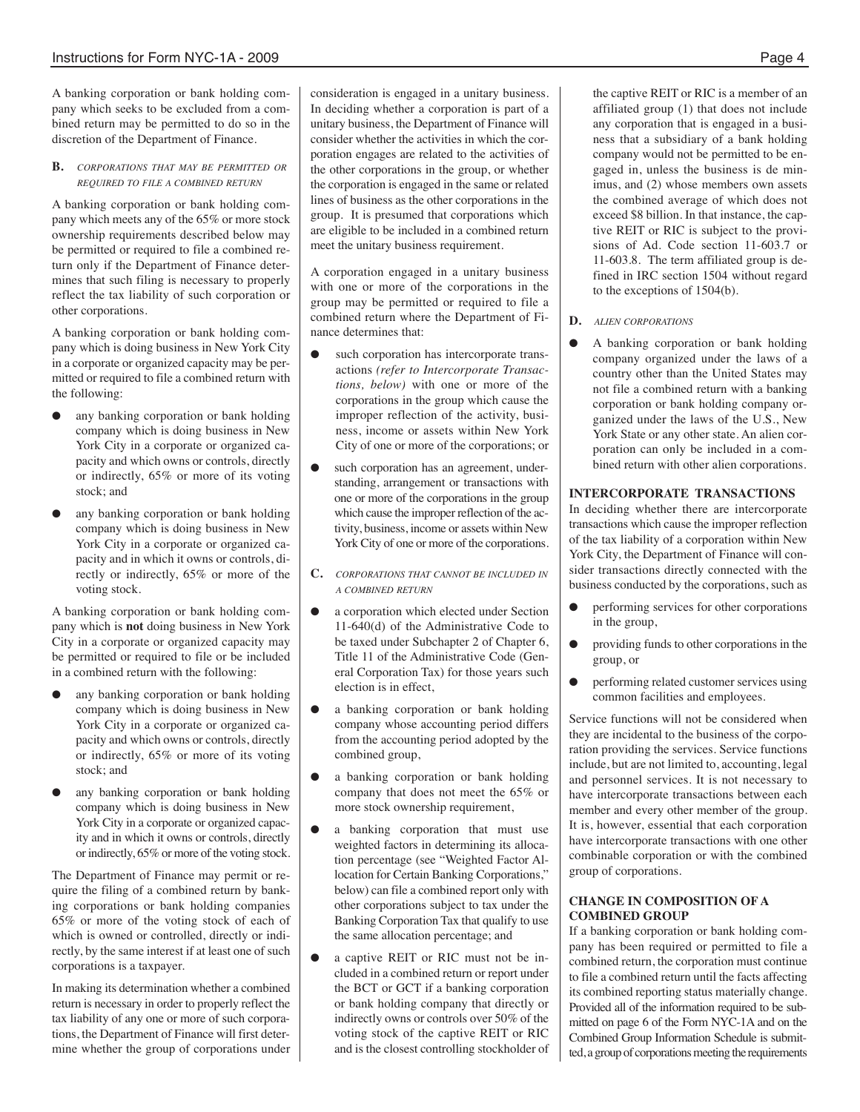A banking corporation or bank holding company which seeks to be excluded from a combined return may be permitted to do so in the discretion of the Department of Finance.

#### **B.** *CORPORATIONS THAT MAY BE PERMITTED OR REQUIRED TO FILE A COMBINED RETURN*

A banking corporation or bank holding company which meets any of the 65% or more stock ownership requirements described below may be permitted or required to file a combined return only if the Department of Finance determines that such filing is necessary to properly reflect the tax liability of such corporation or other corporations.

A banking corporation or bank holding company which is doing business in New York City in a corporate or organized capacity may be permitted or required to file a combined return with the following:

- any banking corporation or bank holding company which is doing business in New York City in a corporate or organized capacity and which owns or controls, directly or indirectly, 65% or more of its voting stock; and
- any banking corporation or bank holding company which is doing business in New York City in a corporate or organized capacity and in which it owns or controls, directly or indirectly, 65% or more of the voting stock.

A banking corporation or bank holding company which is **not** doing business in New York City in a corporate or organized capacity may be permitted or required to file or be included in a combined return with the following:

- any banking corporation or bank holding company which is doing business in New York City in a corporate or organized capacity and which owns or controls, directly or indirectly, 65% or more of its voting stock; and
- any banking corporation or bank holding company which is doing business in New York City in a corporate or organized capacity and in which it owns or controls, directly or indirectly, 65% or more of the voting stock.

The Department of Finance may permit or require the filing of a combined return by banking corporations or bank holding companies 65% or more of the voting stock of each of which is owned or controlled, directly or indirectly, by the same interest if at least one of such corporations is a taxpayer.

In making its determination whether a combined return is necessary in order to properly reflect the tax liability of any one or more of such corporations, the Department of Finance will first determine whether the group of corporations under consideration is engaged in a unitary business. In deciding whether a corporation is part of a unitary business, the Department of Finance will consider whether the activities in which the corporation engages are related to the activities of the other corporations in the group, or whether the corporation is engaged in the same or related lines of business as the other corporations in the group. It is presumed that corporations which are eligible to be included in a combined return meet the unitary business requirement.

A corporation engaged in a unitary business with one or more of the corporations in the group may be permitted or required to file a combined return where the Department of Finance determines that:

- such corporation has intercorporate transactions *(refer to Intercorporate Transactions, below)* with one or more of the corporations in the group which cause the improper reflection of the activity, business, income or assets within New York City of one or more of the corporations; or
- such corporation has an agreement, understanding, arrangement or transactions with one or more of the corporations in the group which cause the improper reflection of the activity, business, income or assets within New York City of one or more of the corporations.
- **C.** *CORPORATIONS THAT CANNOT BE INCLUDED IN A COMBINED RETURN*
- a corporation which elected under Section 11-640(d) of the Administrative Code to be taxed under Subchapter 2 of Chapter 6, Title 11 of the Administrative Code (General Corporation Tax) for those years such election is in effect,
- a banking corporation or bank holding company whose accounting period differs from the accounting period adopted by the combined group,
- a banking corporation or bank holding company that does not meet the 65% or more stock ownership requirement,
- a banking corporation that must use weighted factors in determining its allocation percentage (see "Weighted Factor Allocation for Certain Banking Corporations," below) can file a combined report only with other corporations subject to tax under the Banking Corporation Tax that qualify to use the same allocation percentage; and
- a captive REIT or RIC must not be included in a combined return or report under the BCT or GCT if a banking corporation or bank holding company that directly or indirectly owns or controls over 50% of the voting stock of the captive REIT or RIC and is the closest controlling stockholder of

the captive REIT or RIC is a member of an affiliated group (1) that does not include any corporation that is engaged in a business that a subsidiary of a bank holding company would not be permitted to be engaged in, unless the business is de minimus, and (2) whose members own assets the combined average of which does not exceed \$8 billion. In that instance, the captive REIT or RIC is subject to the provisions of Ad. Code section 11-603.7 or 11-603.8. The term affiliated group is defined in IRC section 1504 without regard to the exceptions of 1504(b).

- **D.** *ALIEN CORPORATIONS*
- A banking corporation or bank holding company organized under the laws of a country other than the United States may not file a combined return with a banking corporation or bank holding company organized under the laws of the U.S., New York State or any other state. An alien corporation can only be included in a combined return with other alien corporations.

#### **INTERCORPORATE TRANSACTIONS**

In deciding whether there are intercorporate transactions which cause the improper reflection of the tax liability of a corporation within New York City, the Department of Finance will consider transactions directly connected with the business conducted by the corporations, such as

- performing services for other corporations in the group,
- providing funds to other corporations in the group, or
- performing related customer services using common facilities and employees.

Service functions will not be considered when they are incidental to the business of the corporation providing the services. Service functions include, but are not limited to, accounting, legal and personnel services. It is not necessary to have intercorporate transactions between each member and every other member of the group. It is, however, essential that each corporation have intercorporate transactions with one other combinable corporation or with the combined group of corporations.

#### **CHANGE IN COMPOSITION OF A COMBINED GROUP**

If a banking corporation or bank holding company has been required or permitted to file a combined return, the corporation must continue to file a combined return until the facts affecting its combined reporting status materially change. Provided all of the information required to be submitted on page 6 of the Form NYC-1A and on the Combined Group Information Schedule is submitted, a group of corporations meeting the requirements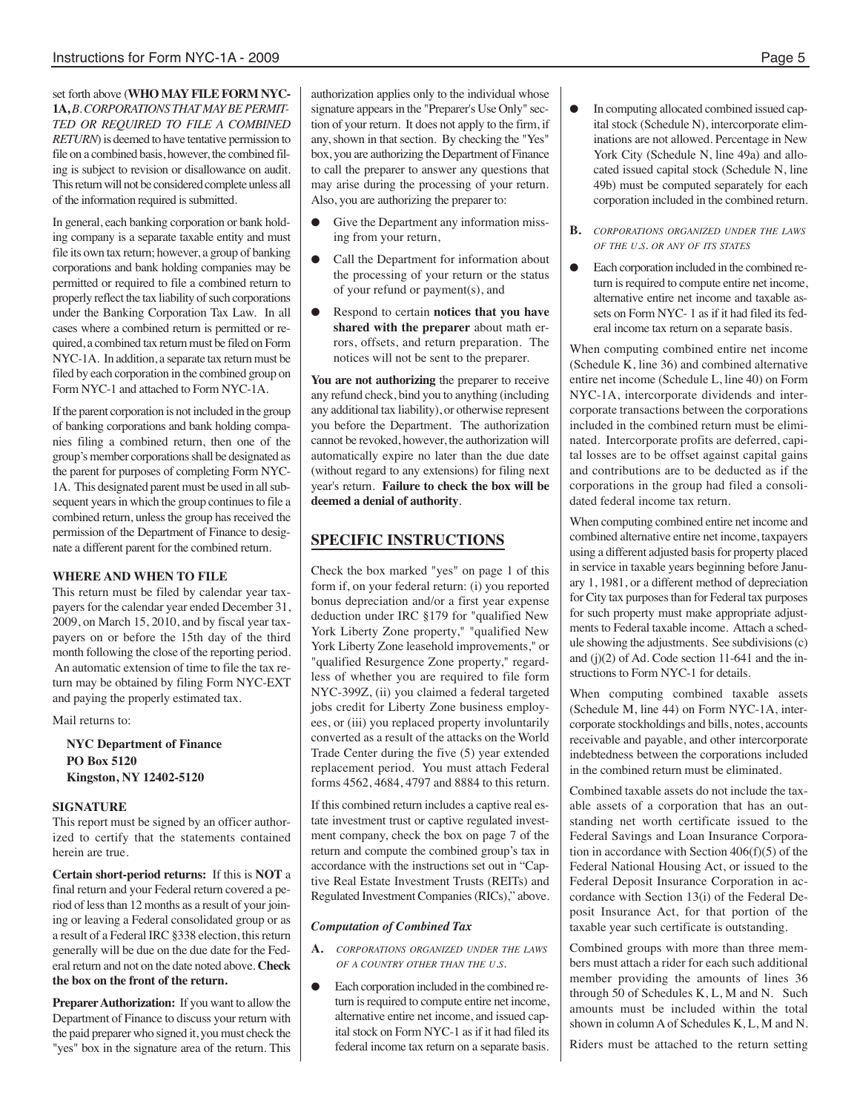set forth above (**WHO MAY FILE FORM NYC-**1A,*B*. CORPORATIONS THAT MAY BE PERMIT-*TED OR REQUIRED TO FILE A COMBINED RETURN*) is deemed to have tentative permission to file on a combined basis, however, the combined filing is subject to revision or disallowance on audit. This return will not be considered complete unless all of the information required is submitted.

In general, each banking corporation or bank holding company is a separate taxable entity and must file its own tax return; however, a group of banking corporations and bank holding companies may be permitted or required to file a combined return to properly reflect the tax liability of such corporations under the Banking Corporation Tax Law. In all cases where a combined return is permitted or required, a combined tax return must be filed on Form NYC-1A. In addition, a separate tax return must be filed by each corporation in the combined group on Form NYC-1 and attached to Form NYC-1A.

If the parent corporation is not included in the group of banking corporations and bank holding companies filing a combined return, then one of the group's member corporations shall be designated as the parent for purposes of completing Form NYC-1A. This designated parent must be used in all subsequent years in which the group continues to file a combined return, unless the group has received the permission of the Department of Finance to designate a different parent for the combined return.

#### **WHERE AND WHEN TO FILE**

This return must be filed by calendar year taxpayers for the calendar year ended December 31, 2009, on March 15, 2010, and by fiscal year taxpayers on or before the 15th day of the third month following the close of the reporting period. An automatic extension of time to file the tax return may be obtained by filing Form NYC-EXT and paying the properly estimated tax.

Mail returns to:

**NYC Department of Finance PO Box 5120 Kingston, NY 12402-5120**

#### **SIGNATURE**

This report must be signed by an officer authorized to certify that the statements contained herein are true.

**Certain short-period returns:** If this is **NOT** a final return and your Federal return covered a period of lessthan 12 months as a result of your joining or leaving a Federal consolidated group or as a result of a Federal IRC §338 election, this return generally will be due on the due date for the Federal return and not on the date noted above. **Check the box on the front of the return.**

**Preparer Authorization:** If you want to allow the Department of Finance to discuss your return with the paid preparer who signed it, you must check the "yes" box in the signature area of the return. This

authorization applies only to the individual whose signature appears in the "Preparer's Use Only" section of your return. It does not apply to the firm, if any, shown in that section. By checking the "Yes" box, you are authorizing the Department of Finance to call the preparer to answer any questions that may arise during the processing of your return. Also, you are authorizing the preparer to:

- Give the Department any information missing from your return,
- Call the Department for information about the processing of your return or the status of your refund or payment(s), and
- Respond to certain **notices that you have shared with the preparer** about math errors, offsets, and return preparation. The notices will not be sent to the preparer.

**You are not authorizing** the preparer to receive any refund check, bind you to anything (including any additional tax liability), or otherwise represent you before the Department. The authorization cannot be revoked, however, the authorization will automatically expire no later than the due date (without regard to any extensions) for filing next year's return. **Failure to check the box will be deemed a denial of authority**.

## **SPECIFIC INSTRUCTIONS**

Check the box marked "yes" on page 1 of this form if, on your federal return: (i) you reported bonus depreciation and/or a first year expense deduction under IRC §179 for "qualified New York Liberty Zone property," "qualified New York Liberty Zone leasehold improvements," or "qualified Resurgence Zone property," regardless of whether you are required to file form NYC-399Z, (ii) you claimed a federal targeted jobs credit for Liberty Zone business employees, or (iii) you replaced property involuntarily converted as a result of the attacks on the World Trade Center during the five (5) year extended replacement period. You must attach Federal forms 4562, 4684, 4797 and 8884 to this return.

If this combined return includes a captive real estate investment trust or captive regulated investment company, check the box on page 7 of the return and compute the combined group's tax in accordance with the instructions set out in "Captive Real Estate Investment Trusts (REITs) and Regulated Investment Companies(RICs)," above.

#### *Computation of Combined Tax*

- **A.** *CORPORATIONS ORGANIZED UNDER THE LAWS OF A COUNTRY OTHER THAN THE U.S.*
- Each corporation included in the combined return is required to compute entire net income, alternative entire net income, and issued capital stock on Form NYC-1 as if it had filed its federal income tax return on a separate basis.
- In computing allocated combined issued capital stock (Schedule N), intercorporate eliminations are not allowed. Percentage in New York City (Schedule N, line 49a) and allocated issued capital stock (Schedule N, line 49b) must be computed separately for each corporation included in the combined return.
- **B.** *CORPORATIONS ORGANIZED UNDER THE LAWS OF THE U.S. OR ANY OF ITS STATES*
- Each corporation included in the combined return is required to compute entire net income, alternative entire net income and taxable assets on Form NYC- 1 as if it had filed its federal income tax return on a separate basis.

When computing combined entire net income (Schedule K, line 36) and combined alternative entire net income (Schedule L, line 40) on Form NYC-1A, intercorporate dividends and intercorporate transactions between the corporations included in the combined return must be eliminated. Intercorporate profits are deferred, capital losses are to be offset against capital gains and contributions are to be deducted as if the corporations in the group had filed a consolidated federal income tax return.

When computing combined entire net income and combined alternative entire net income, taxpayers using a different adjusted basis for property placed in service in taxable years beginning before January 1, 1981, or a different method of depreciation for City tax purposes than for Federal tax purposes for such property must make appropriate adjustments to Federal taxable income. Attach a schedule showing the adjustments. See subdivisions(c) and (j)(2) of Ad. Code section 11-641 and the instructions to Form NYC-1 for details.

When computing combined taxable assets (Schedule M, line 44) on Form NYC-1A, intercorporate stockholdings and bills, notes, accounts receivable and payable, and other intercorporate indebtedness between the corporations included in the combined return must be eliminated.

Combined taxable assets do not include the taxable assets of a corporation that has an outstanding net worth certificate issued to the Federal Savings and Loan Insurance Corporation in accordance with Section 406(f)(5) of the Federal National Housing Act, or issued to the Federal Deposit Insurance Corporation in accordance with Section 13(i) of the Federal Deposit Insurance Act, for that portion of the taxable year such certificate is outstanding.

Combined groups with more than three members must attach a rider for each such additional member providing the amounts of lines 36 through 50 of Schedules K, L, M and N. Such amounts must be included within the total shown in column A of Schedules K, L, M and N.

Riders must be attached to the return setting